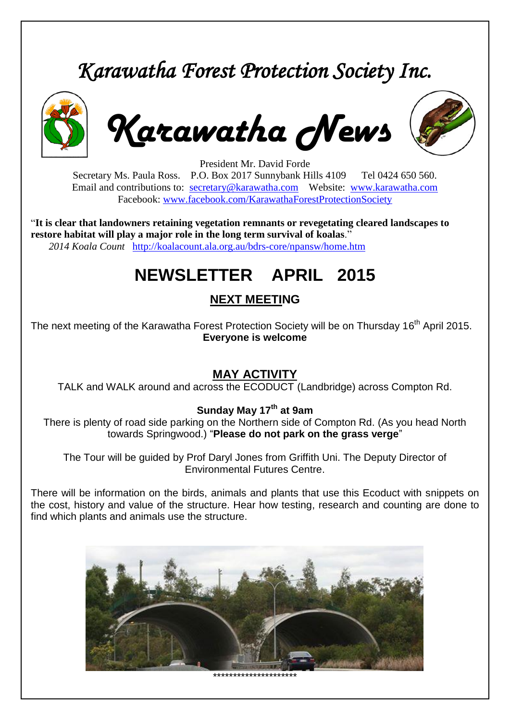# *Karawatha Forest Protection Society Inc.*



*Karawatha News*



President Mr. David Forde Secretary Ms. Paula Ross. P.O. Box 2017 Sunnybank Hills 4109 Tel 0424 650 560. Email and contributions to: [secretary@karawatha.com](mailto:secretary@karawatha.com) Website: [www.karawatha.com](http://www.karawatha.com/) Facebook: [www.facebook.com/KarawathaForestProtectionSociety](http://www.facebook.com/KarawathaForestProtectionSociety)

"**It is clear that landowners retaining vegetation remnants or revegetating cleared landscapes to restore habitat will play a major role in the long term survival of koalas**." *2014 Koala Count* <http://koalacount.ala.org.au/bdrs-core/npansw/home.htm>

# **NEWSLETTER APRIL 2015**

# **NEXT MEETING**

The next meeting of the Karawatha Forest Protection Society will be on Thursday 16<sup>th</sup> April 2015. **Everyone is welcome**

#### **MAY ACTIVITY**

TALK and WALK around and across the ECODUCT (Landbridge) across Compton Rd.

#### **Sunday May 17th at 9am**

There is plenty of road side parking on the Northern side of Compton Rd. (As you head North towards Springwood.) "**Please do not park on the grass verge**"

The Tour will be guided by Prof Daryl Jones from Griffith Uni. The Deputy Director of Environmental Futures Centre.

There will be information on the birds, animals and plants that use this Ecoduct with snippets on the cost, history and value of the structure. Hear how testing, research and counting are done to find which plants and animals use the structure.



\*\*\*\*\*\*\*\*\*\*\*\*\*\*\*\*\*\*\*\*\*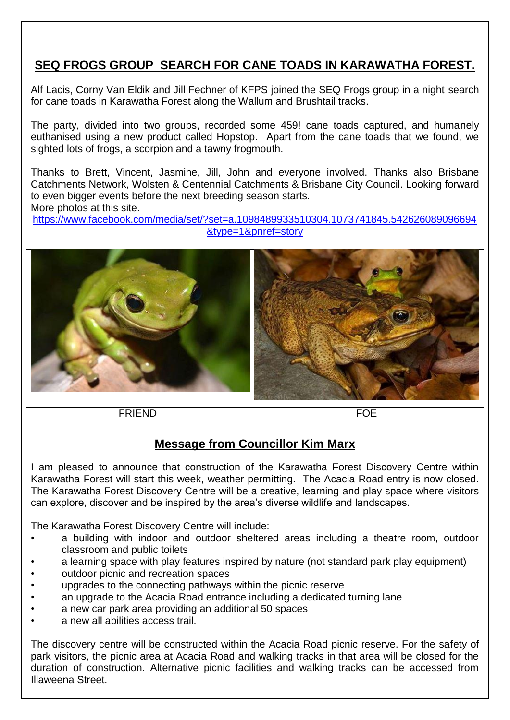## **SEQ FROGS GROUP SEARCH FOR CANE TOADS IN KARAWATHA FOREST.**

Alf Lacis, Corny Van Eldik and Jill Fechner of KFPS joined the SEQ Frogs group in a night search for cane toads in Karawatha Forest along the Wallum and Brushtail tracks.

The party, divided into two groups, recorded some 459! cane toads captured, and humanely euthanised using a new product called Hopstop. Apart from the cane toads that we found, we sighted lots of frogs, a scorpion and a tawny frogmouth.

Thanks to Brett, Vincent, Jasmine, Jill, John and everyone involved. Thanks also Brisbane Catchments Network, Wolsten & Centennial Catchments & Brisbane City Council. Looking forward to even bigger events before the next breeding season starts. More photos at this site.

[https://www.facebook.com/media/set/?set=a.1098489933510304.1073741845.542626089096694](https://www.facebook.com/media/set/?set=a.1098489933510304.1073741845.542626089096694&type=1&pnref=story) [&type=1&pnref=story](https://www.facebook.com/media/set/?set=a.1098489933510304.1073741845.542626089096694&type=1&pnref=story)



#### **Message from Councillor Kim Marx**

I am pleased to announce that construction of the Karawatha Forest Discovery Centre within Karawatha Forest will start this week, weather permitting. The Acacia Road entry is now closed. The Karawatha Forest Discovery Centre will be a creative, learning and play space where visitors can explore, discover and be inspired by the area's diverse wildlife and landscapes.

The Karawatha Forest Discovery Centre will include:

- a building with indoor and outdoor sheltered areas including a theatre room, outdoor classroom and public toilets
- a learning space with play features inspired by nature (not standard park play equipment)
- outdoor picnic and recreation spaces
- upgrades to the connecting pathways within the picnic reserve
- an upgrade to the Acacia Road entrance including a dedicated turning lane
- a new car park area providing an additional 50 spaces
- a new all abilities access trail.

The discovery centre will be constructed within the Acacia Road picnic reserve. For the safety of park visitors, the picnic area at Acacia Road and walking tracks in that area will be closed for the duration of construction. Alternative picnic facilities and walking tracks can be accessed from Illaweena Street.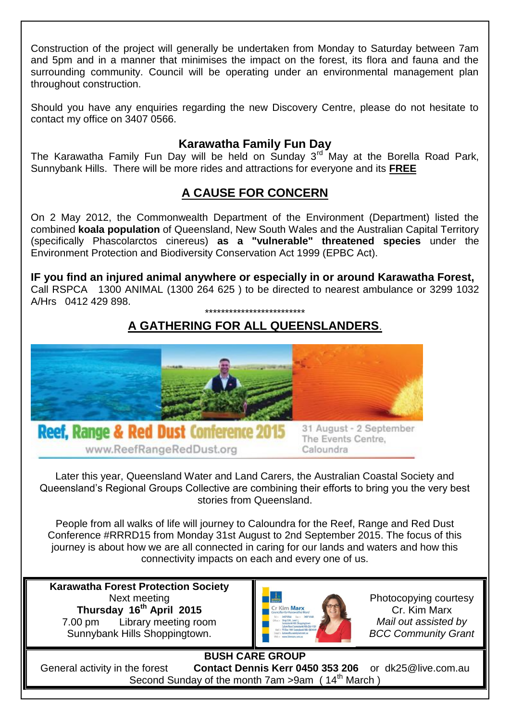Construction of the project will generally be undertaken from Monday to Saturday between 7am and 5pm and in a manner that minimises the impact on the forest, its flora and fauna and the surrounding community. Council will be operating under an environmental management plan throughout construction.

Should you have any enquiries regarding the new Discovery Centre, please do not hesitate to contact my office on 3407 0566.

#### **Karawatha Family Fun Day**

The Karawatha Family Fun Day will be held on Sunday  $3^{rd}$  May at the Borella Road Park, Sunnybank Hills. There will be more rides and attractions for everyone and its **FREE**

## **A CAUSE FOR CONCERN**

On 2 May 2012, the Commonwealth Department of the Environment (Department) listed the combined **koala population** of Queensland, New South Wales and the Australian Capital Territory (specifically Phascolarctos cinereus) **as a "vulnerable" threatened species** under the Environment Protection and Biodiversity Conservation Act 1999 (EPBC Act).

**IF you find an injured animal anywhere or especially in or around Karawatha Forest,** Call RSPCA 1300 ANIMAL (1300 264 625 ) to be directed to nearest ambulance or 3299 1032 A/Hrs 0412 429 898. \*\*\*\*\*\*\*\*\*\*\*\*\*\*\*\*\*\*\*\*\*\*\*\*\*

# **A GATHERING FOR ALL QUEENSLANDERS**.



Later this year, Queensland Water and Land Carers, the Australian Coastal Society and Queensland's Regional Groups Collective are combining their efforts to bring you the very best stories from Queensland.

People from all walks of life will journey to Caloundra for the Reef, Range and Red Dust Conference #RRRD15 from Monday 31st August to 2nd September 2015. The focus of this journey is about how we are all connected in caring for our lands and waters and how this connectivity impacts on each and every one of us.

**Karawatha Forest Protection Society** Next meeting **Thursday 16 th April 2015** 7.00 pm Library meeting room Sunnybank Hills Shoppingtown.



Photocopying courtesy Cr. Kim Marx *Mail out assisted by BCC Community Grant*

**BUSH CARE GROUP** General activity in the forest **Contact Dennis Kerr 0450 353 206** or dk25@live.com.au Second Sunday of the month 7am >9am (14<sup>th</sup> March)